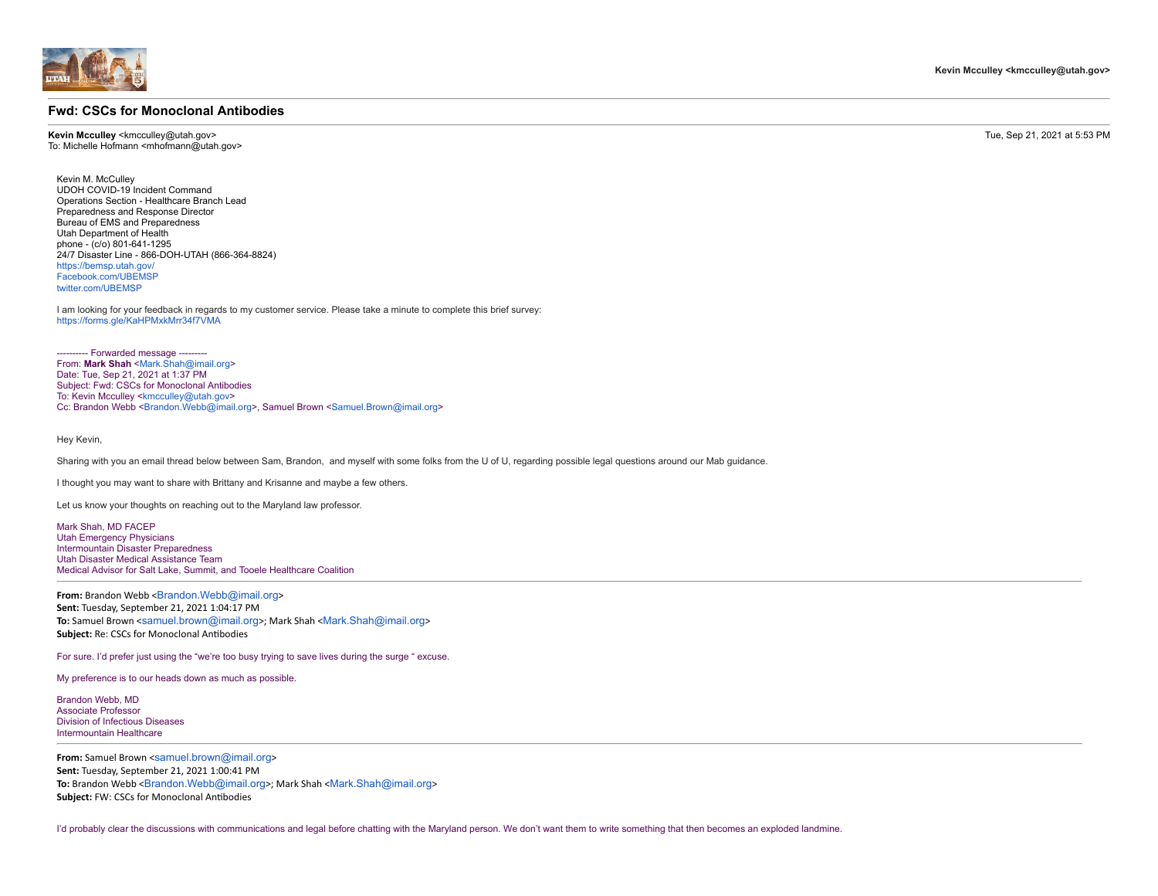## **Fwd: CSCs for Monoclonal Antibodies**

**Kevin Mcculley** <kmcculley@utah.gov> Tue, Sep 21, 2021 at 5:53 PM To: Michelle Hofmann <mhofmann@utah.gov>

Kevin M. McCulley UDOH COVID-19 Incident Command Operations Section - Healthcare Branch Lead Preparedness and Response Director Bureau of EMS and Preparedness Utah Department of Health phone - (c/o) 801-641-1295 24/7 Disaster Line - 866-DOH-UTAH (866-364-8824) [https://bemsp.utah.gov/](http://health.utah.gov/preparedness/) [Facebook.com/UBEMSP](http://facebook.com/UBEMSP) [twitter.com/UBEMSP](http://twitter.com/UBEMSP)

I am looking for your feedback in regards to my customer service. Please take a minute to complete this brief survey: <https://forms.gle/KaHPMxkMrr34f7VMA>

---- Forwarded message --------From: **Mark Shah** [<Mark.Shah@imail.org>](mailto:Mark.Shah@imail.org) Date: Tue, Sep 21, 2021 at 1:37 PM Subject: Fwd: CSCs for Monoclonal Antibodies To: Kevin Mcculley <[kmcculley@utah.gov](mailto:kmcculley@utah.gov)> Cc: Brandon Webb <[Brandon.Webb@imail.org>](mailto:Brandon.Webb@imail.org), Samuel Brown [<Samuel.Brown@imail.org>](mailto:Samuel.Brown@imail.org)

Hey Kevin,

Sharing with you an email thread below between Sam, Brandon, and myself with some folks from the U of U, regarding possible legal questions around our Mab guidance.

I thought you may want to share with Brittany and Krisanne and maybe a few others.

Let us know your thoughts on reaching out to the Maryland law professor.

Mark Shah, MD FACEP Utah Emergency Physicians Intermountain Disaster Preparedness<br>Ultah Disaster Medical Assistance Team Medical Advisor for Salt Lake, Summit, and Tooele Healthcare Coalition

From: Brandon Webb <[Brandon.Webb@imail.org](mailto:Brandon.Webb@imail.org)> **Sent:** Tuesday, September 21, 2021 1:04:17 PM **To:** Samuel Brown <[samuel.brown@imail.org](mailto:samuel.brown@imail.org)>; Mark Shah <[Mark.Shah@imail.org](mailto:Mark.Shah@imail.org)> **Subject:** Re: CSCs for Monoclonal Antibodies

For sure. I'd prefer just using the "we're too busy trying to save lives during the surge " excuse.

My preference is to our heads down as much as possible.

Brandon Webb, MD Associate Professor Division of Infectious Diseases Intermountain Healthcare

**From:** Samuel Brown <[samuel.brown@imail.org](mailto:samuel.brown@imail.org)> **Sent:** Tuesday, September 21, 2021 1:00:41 PM **To:** Brandon Webb <[Brandon.Webb@imail.org](mailto:Brandon.Webb@imail.org)>; Mark Shah <[Mark.Shah@imail.org](mailto:Mark.Shah@imail.org)> **Subject:** FW: CSCs for Monoclonal Antibodies

I'd probably clear the discussions with communications and legal before chatting with the Maryland person. We don't want them to write something that then becomes an exploded landmine.

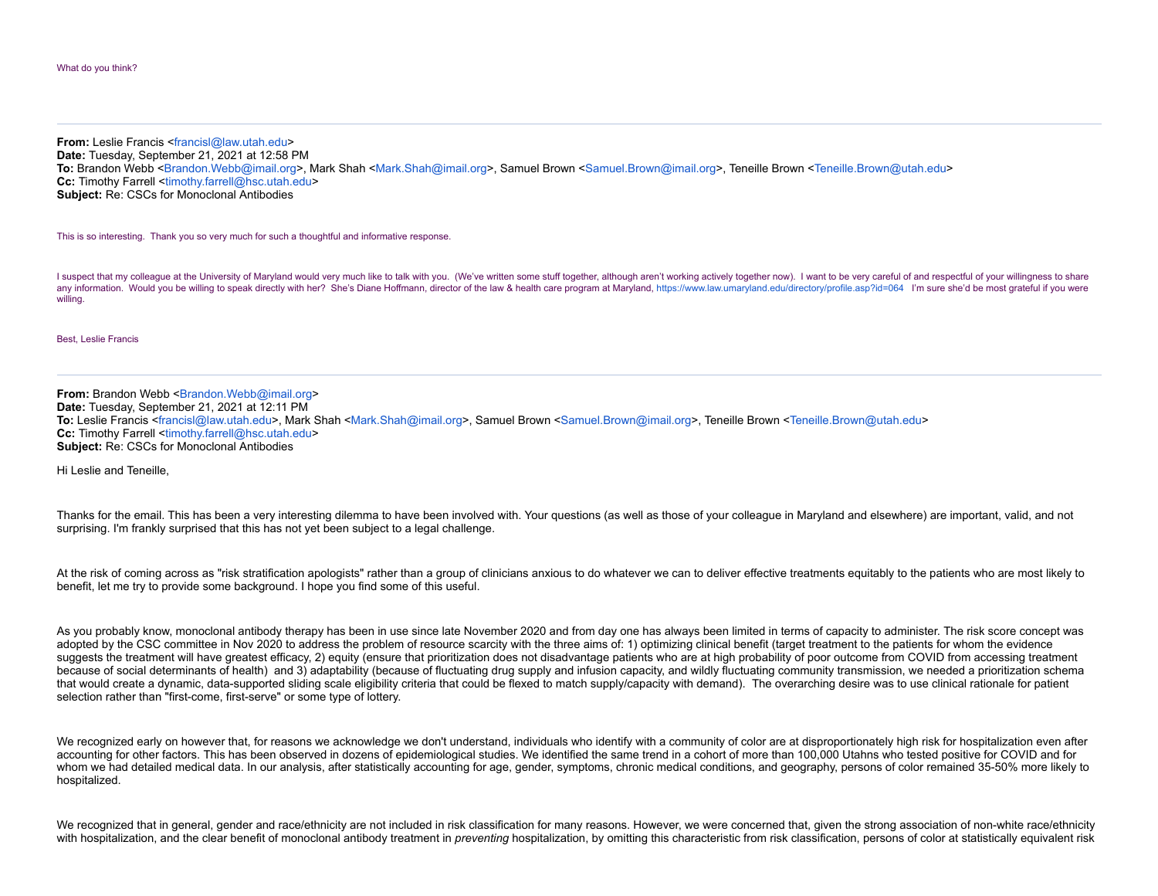**From:** Leslie Francis [<francisl@law.utah.edu>](mailto:francisl@law.utah.edu) **Date:** Tuesday, September 21, 2021 at 12:58 PM **To:** Brandon Webb [<Brandon.Webb@imail.org](mailto:Brandon.Webb@imail.org)>, Mark Shah [<Mark.Shah@imail.org](mailto:Mark.Shah@imail.org)>, Samuel Brown <[Samuel.Brown@imail.org](mailto:Samuel.Brown@imail.org)>, Teneille Brown <[Teneille.Brown@utah.edu](mailto:Teneille.Brown@utah.edu)> **Cc:** Timothy Farrell [<timothy.farrell@hsc.utah.edu>](mailto:timothy.farrell@hsc.utah.edu) **Subject:** Re: CSCs for Monoclonal Antibodies

This is so interesting. Thank you so very much for such a thoughtful and informative response.

I suspect that my colleague at the University of Maryland would very much like to talk with you. (We've written some stuff together, although aren't working actively together now). I want to be very careful of and respectf any information. Would you be willing to speak directly with her? She's Diane Hoffmann, director of the law & health care program at Maryland, [https://www.law.umaryland.edu/directory/profile.asp?id=064](https://urldefense.proofpoint.com/v2/url?u=https-3A__www.law.umaryland.edu_directory_profile.asp-3Fid-3D064&d=DwMGaQ&c=II16XUCNF0uj2WHDMBdftpHZzyfqZU4E6o4J8m7Yfh-XF5deecOtjPXuMFvj1uWy&r=LpGZUycuoFMHME94qB22kysrz1VbIw7rAdywxSOSQwY&m=Vl2EVldur_WPAeK8sHRqdDXwP6WagM9dJXht3oPhuWU&s=_4SF8XjpoXUAe-tmfD4o9LH_v91crDkAeNJCSdpI4IY&e=) I'm sure she'd be mo willing.

## Best, Leslie Francis

**From:** Brandon Webb [<Brandon.Webb@imail.org>](mailto:Brandon.Webb@imail.org) **Date:** Tuesday, September 21, 2021 at 12:11 PM **To:** Leslie Francis <[francisl@law.utah.edu](mailto:francisl@law.utah.edu)>, Mark Shah [<Mark.Shah@imail.org>](mailto:Mark.Shah@imail.org), Samuel Brown <[Samuel.Brown@imail.org>](mailto:Samuel.Brown@imail.org), Teneille Brown <[Teneille.Brown@utah.edu](mailto:Teneille.Brown@utah.edu)> **Cc:** Timothy Farrell [<timothy.farrell@hsc.utah.edu>](mailto:timothy.farrell@hsc.utah.edu) **Subject:** Re: CSCs for Monoclonal Antibodies

Hi Leslie and Teneille,

Thanks for the email. This has been a very interesting dilemma to have been involved with. Your questions (as well as those of your colleague in Maryland and elsewhere) are important, valid, and not surprising. I'm frankly surprised that this has not yet been subject to a legal challenge.

At the risk of coming across as "risk stratification apologists" rather than a group of clinicians anxious to do whatever we can to deliver effective treatments equitably to the patients who are most likely to benefit, let me try to provide some background. I hope you find some of this useful.

As you probably know, monoclonal antibody therapy has been in use since late November 2020 and from day one has always been limited in terms of capacity to administer. The risk score concept was adopted by the CSC committee in Nov 2020 to address the problem of resource scarcity with the three aims of: 1) optimizing clinical benefit (target treatment to the patients for whom the evidence suggests the treatment will have greatest efficacy, 2) equity (ensure that prioritization does not disadvantage patients who are at high probability of poor outcome from COVID from accessing treatment because of social determinants of health) and 3) adaptability (because of fluctuating drug supply and infusion capacity, and wildly fluctuating community transmission, we needed a prioritization schema that would create a dynamic, data-supported sliding scale eligibility criteria that could be flexed to match supply/capacity with demand). The overarching desire was to use clinical rationale for patient selection rather than "first-come, first-serve" or some type of lottery.

We recognized early on however that, for reasons we acknowledge we don't understand, individuals who identify with a community of color are at disproportionately high risk for hospitalization even after accounting for other factors. This has been observed in dozens of epidemiological studies. We identified the same trend in a cohort of more than 100,000 Utahns who tested positive for COVID and for whom we had detailed medical data. In our analysis, after statistically accounting for age, gender, symptoms, chronic medical conditions, and geography, persons of color remained 35-50% more likely to hospitalized.

We recognized that in general, gender and race/ethnicity are not included in risk classification for many reasons. However, we were concerned that, given the strong association of non-white race/ethnicity with hospitalization, and the clear benefit of monoclonal antibody treatment in *preventing* hospitalization, by omitting this characteristic from risk classification, persons of color at statistically equivalent risk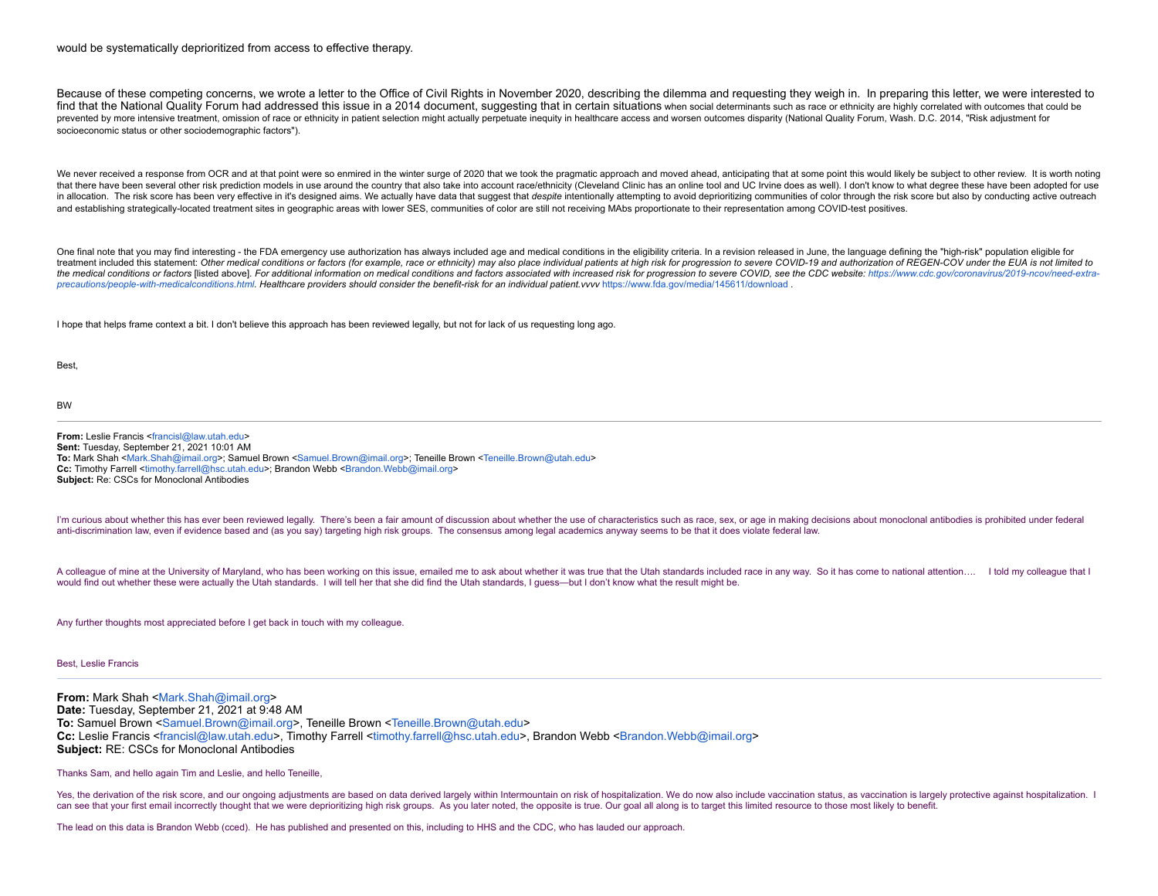## would be systematically deprioritized from access to effective therapy.

Because of these competing concerns, we wrote a letter to the Office of Civil Rights in November 2020, describing the dilemma and requesting they weigh in. In preparing this letter, we were interested to find that the National Quality Forum had addressed this issue in a 2014 document, suggesting that in certain situations when social determinants such as race or ethnicity are highly correlated with outcomes that could be prevented by more intensive treatment, omission of race or ethnicity in patient selection might actually perpetuate inequity in healthcare access and worsen outcomes disparity (National Quality Forum, Wash, D.C. 2014, "Ris socioeconomic status or other sociodemographic factors").

We never received a response from OCR and at that point were so enmired in the winter surge of 2020 that we took the pragmatic approach and moved ahead, anticipating that at some point this would likely be subject to other that there have been several other risk prediction models in use around the country that also take into account race/ethnicity (Cleveland Clinic has an online tool and UC Irvine does as well). I don't know to what degree t in allocation. The risk score has been very effective in it's designed aims. We actually have data that suggest that despite intentionally attempting to avoid deprioritizing communities of color through the risk score but and establishing strategically-located treatment sites in geographic areas with lower SES, communities of color are still not receiving MAbs proportionate to their representation among COVID-test positives.

One final note that you may find interesting - the FDA emergency use authorization has always included age and medical conditions in the eligibility criteria. In a revision released in June, the language defining the "high treatment included this statement: Other medical conditions or factors (for example, race or ethnicity) may also place individual patients at high risk for progression to severe COVID-19 and authorization of REGEN-COV unde the medical conditions or factors [listed above]. For additional information on medical conditions and factors associated with increased risk for progression to severe COVID, see the CDC website: https://www.cdc.gov/corona *precautions/people-with-medicalconditions.html. Healthcare providers should consider the benefit-risk for an individual patient.vvvv* [https://www.fda.gov/media/145611/download](https://urldefense.proofpoint.com/v2/url?u=https-3A__www.fda.gov_media_145611_download&d=DwMGaQ&c=II16XUCNF0uj2WHDMBdftpHZzyfqZU4E6o4J8m7Yfh-XF5deecOtjPXuMFvj1uWy&r=LpGZUycuoFMHME94qB22kysrz1VbIw7rAdywxSOSQwY&m=Vl2EVldur_WPAeK8sHRqdDXwP6WagM9dJXht3oPhuWU&s=rrKTD-6WkIb-Am9zX7MOXR_8Yk02KrYRLMqnOIRf4ak&e=) .

I hope that helps frame context a bit. I don't believe this approach has been reviewed legally, but not for lack of us requesting long ago.

**Best** 

BW

**From:** Leslie Francis [<francisl@law.utah.edu](mailto:francisl@law.utah.edu)> **Sent:** Tuesday, September 21, 2021 10:01 AM **To:** Mark Shah <[Mark.Shah@imail.org>](mailto:Mark.Shah@imail.org); Samuel Brown <[Samuel.Brown@imail.org](mailto:Samuel.Brown@imail.org)>; Teneille Brown [<Teneille.Brown@utah.edu](mailto:Teneille.Brown@utah.edu)> **Cc:** Timothy Farrell [<timothy.farrell@hsc.utah.edu>](mailto:timothy.farrell@hsc.utah.edu); Brandon Webb [<Brandon.Webb@imail.org](mailto:Brandon.Webb@imail.org)> **Subject:** Re: CSCs for Monoclonal Antibodies

I'm curious about whether this has ever been reviewed legally. There's been a fair amount of discussion about whether the use of characteristics such as race, sex, or age in making decisions about monoclonal antibodies is anti-discrimination law, even if evidence based and (as you say) targeting high risk groups. The consensus among legal academics anyway seems to be that it does violate federal law.

A colleague of mine at the University of Maryland, who has been working on this issue, emailed me to ask about whether it was true that the Utah standards included race in any way. So it has come to national attention.... would find out whether these were actually the Utah standards. I will tell her that she did find the Utah standards, I quess—but I don't know what the result might be.

Any further thoughts most appreciated before I get back in touch with my colleague.

Best, Leslie Francis

**From:** Mark Shah <[Mark.Shah@imail.org>](mailto:Mark.Shah@imail.org) **Date:** Tuesday, September 21, 2021 at 9:48 AM **To:** Samuel Brown [<Samuel.Brown@imail.org>](mailto:Samuel.Brown@imail.org), Teneille Brown <[Teneille.Brown@utah.edu](mailto:Teneille.Brown@utah.edu)> **Cc:** Leslie Francis <[francisl@law.utah.edu](mailto:francisl@law.utah.edu)>, Timothy Farrell <[timothy.farrell@hsc.utah.edu>](mailto:timothy.farrell@hsc.utah.edu), Brandon Webb <[Brandon.Webb@imail.org](mailto:Brandon.Webb@imail.org)> **Subject:** RE: CSCs for Monoclonal Antibodies

Thanks Sam, and hello again Tim and Leslie, and hello Teneille,

Yes, the derivation of the risk score, and our ongoing adjustments are based on data derived largely within Intermountain on risk of hospitalization. We do now also include vaccination status, as vaccination is largely pro can see that your first email incorrectly thought that we were deprioritizing high risk groups. As you later noted, the opposite is true. Our goal all along is to target this limited resource to those most likely to benefi

The lead on this data is Brandon Webb (cced). He has published and presented on this, including to HHS and the CDC, who has lauded our approach.